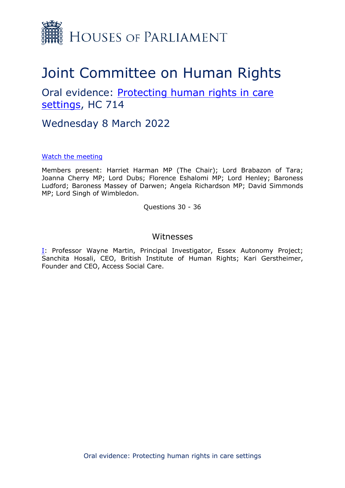

# Joint Committee on Human Rights

# Oral evidence: [Protecting](https://committees.parliament.uk/work/1495/protecting-human-rights-in-care-settings/) [human](https://committees.parliament.uk/work/1495/protecting-human-rights-in-care-settings/) [rights](https://committees.parliament.uk/work/1495/protecting-human-rights-in-care-settings/) [in](https://committees.parliament.uk/work/1495/protecting-human-rights-in-care-settings/) [care](https://committees.parliament.uk/work/1495/protecting-human-rights-in-care-settings/) [settings](https://committees.parliament.uk/work/1495/protecting-human-rights-in-care-settings/), HC 714

Wednesday 8 March 2022

[Watch](https://parliamentlive.tv/event/index/8197df07-192b-409b-aa1f-79138937f7b3) [the](https://parliamentlive.tv/event/index/8197df07-192b-409b-aa1f-79138937f7b3) [meeting](https://parliamentlive.tv/event/index/8197df07-192b-409b-aa1f-79138937f7b3)

Members present: Harriet Harman MP (The Chair); Lord Brabazon of Tara; Joanna Cherry MP; Lord Dubs; Florence Eshalomi MP; Lord Henley; Baroness Ludford; Baroness Massey of Darwen; Angela Richardson MP; David Simmonds MP; Lord Singh of Wimbledon.

Questions 30 - 36

### Witnesses

[I:](#page-1-0) Professor Wayne Martin, Principal Investigator, Essex Autonomy Project; Sanchita Hosali, CEO, British Institute of Human Rights; Kari Gerstheimer, Founder and CEO, Access Social Care.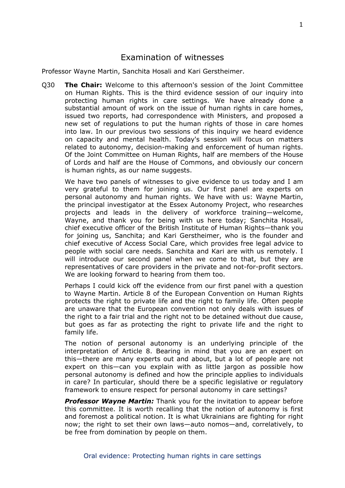## <span id="page-1-0"></span>Examination of witnesses

Professor Wayne Martin, Sanchita Hosali and Kari Gerstheimer.

Q30 **The Chair:** Welcome to this afternoon's session of the Joint Committee on Human Rights. This is the third evidence session of our inquiry into protecting human rights in care settings. We have already done a substantial amount of work on the issue of human rights in care homes, issued two reports, had correspondence with Ministers, and proposed a new set of regulations to put the human rights of those in care homes into law. In our previous two sessions of this inquiry we heard evidence on capacity and mental health. Today's session will focus on matters related to autonomy, decision-making and enforcement of human rights. Of the Joint Committee on Human Rights, half are members of the House of Lords and half are the House of Commons, and obviously our concern is human rights, as our name suggests.

We have two panels of witnesses to give evidence to us today and I am very grateful to them for joining us. Our first panel are experts on personal autonomy and human rights. We have with us: Wayne Martin, the principal investigator at the Essex Autonomy Project, who researches projects and leads in the delivery of workforce training—welcome, Wayne, and thank you for being with us here today; Sanchita Hosali, chief executive officer of the British Institute of Human Rights—thank you for joining us, Sanchita; and Kari Gerstheimer, who is the founder and chief executive of Access Social Care, which provides free legal advice to people with social care needs. Sanchita and Kari are with us remotely. I will introduce our second panel when we come to that, but they are representatives of care providers in the private and not-for-profit sectors. We are looking forward to hearing from them too.

Perhaps I could kick off the evidence from our first panel with a question to Wayne Martin. Article 8 of the European Convention on Human Rights protects the right to private life and the right to family life. Often people are unaware that the European convention not only deals with issues of the right to a fair trial and the right not to be detained without due cause, but goes as far as protecting the right to private life and the right to family life.

The notion of personal autonomy is an underlying principle of the interpretation of Article 8. Bearing in mind that you are an expert on this—there are many experts out and about, but a lot of people are not expert on this—can you explain with as little jargon as possible how personal autonomy is defined and how the principle applies to individuals in care? In particular, should there be a specific legislative or regulatory framework to ensure respect for personal autonomy in care settings?

**Professor Wayne Martin:** Thank you for the invitation to appear before this committee. It is worth recalling that the notion of autonomy is first and foremost a political notion. It is what Ukrainians are fighting for right now; the right to set their own laws—auto nomos—and, correlatively, to be free from domination by people on them.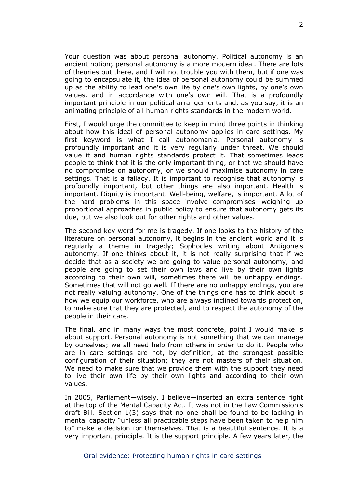Your question was about personal autonomy. Political autonomy is an ancient notion; personal autonomy is a more modern ideal. There are lots of theories out there, and I will not trouble you with them, but if one was going to encapsulate it, the idea of personal autonomy could be summed up as the ability to lead one's own life by one's own lights, by one's own values, and in accordance with one's own will. That is a profoundly important principle in our political arrangements and, as you say, it is an animating principle of all human rights standards in the modern world.

First, I would urge the committee to keep in mind three points in thinking about how this ideal of personal autonomy applies in care settings. My first keyword is what I call autonomania. Personal autonomy is profoundly important and it is very regularly under threat. We should value it and human rights standards protect it. That sometimes leads people to think that it is the only important thing, or that we should have no compromise on autonomy, or we should maximise autonomy in care settings. That is a fallacy. It is important to recognise that autonomy is profoundly important, but other things are also important. Health is important. Dignity is important. Well-being, welfare, is important. A lot of the hard problems in this space involve compromises—weighing up proportional approaches in public policy to ensure that autonomy gets its due, but we also look out for other rights and other values.

The second key word for me is tragedy. If one looks to the history of the literature on personal autonomy, it begins in the ancient world and it is regularly a theme in tragedy; Sophocles writing about Antigone's autonomy. If one thinks about it, it is not really surprising that if we decide that as a society we are going to value personal autonomy, and people are going to set their own laws and live by their own lights according to their own will, sometimes there will be unhappy endings. Sometimes that will not go well. If there are no unhappy endings, you are not really valuing autonomy. One of the things one has to think about is how we equip our workforce, who are always inclined towards protection, to make sure that they are protected, and to respect the autonomy of the people in their care.

The final, and in many ways the most concrete, point I would make is about support. Personal autonomy is not something that we can manage by ourselves; we all need help from others in order to do it. People who are in care settings are not, by definition, at the strongest possible configuration of their situation; they are not masters of their situation. We need to make sure that we provide them with the support they need to live their own life by their own lights and according to their own values.

In 2005, Parliament—wisely, I believe—inserted an extra sentence right at the top of the Mental Capacity Act. It was not in the Law Commission's draft Bill. Section 1(3) says that no one shall be found to be lacking in mental capacity "unless all practicable steps have been taken to help him to" make a decision for themselves. That is a beautiful sentence. It is a very important principle. It is the support principle. A few years later, the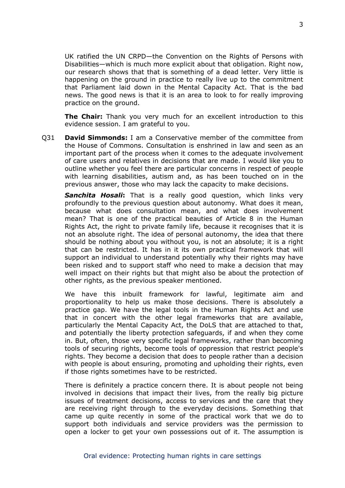UK ratified the UN CRPD—the Convention on the Rights of Persons with Disabilities—which is much more explicit about that obligation. Right now, our research shows that that is something of a dead letter. Very little is happening on the ground in practice to really live up to the commitment that Parliament laid down in the Mental Capacity Act. That is the bad news. The good news is that it is an area to look to for really improving practice on the ground.

**The Chair:** Thank you very much for an excellent introduction to this evidence session. I am grateful to you.

Q31 **David Simmonds:** I am a Conservative member of the committee from the House of Commons. Consultation is enshrined in law and seen as an important part of the process when it comes to the adequate involvement of care users and relatives in decisions that are made. I would like you to outline whether you feel there are particular concerns in respect of people with learning disabilities, autism and, as has been touched on in the previous answer, those who may lack the capacity to make decisions.

*Sanchita Hosali***:** That is a really good question, which links very profoundly to the previous question about autonomy. What does it mean, because what does consultation mean, and what does involvement mean? That is one of the practical beauties of Article 8 in the Human Rights Act, the right to private family life, because it recognises that it is not an absolute right. The idea of personal autonomy, the idea that there should be nothing about you without you, is not an absolute; it is a right that can be restricted. It has in it its own practical framework that will support an individual to understand potentially why their rights may have been risked and to support staff who need to make a decision that may well impact on their rights but that might also be about the protection of other rights, as the previous speaker mentioned.

We have this inbuilt framework for lawful, legitimate aim and proportionality to help us make those decisions. There is absolutely a practice gap. We have the legal tools in the Human Rights Act and use that in concert with the other legal frameworks that are available, particularly the Mental Capacity Act, the DoLS that are attached to that, and potentially the liberty protection safeguards, if and when they come in. But, often, those very specific legal frameworks, rather than becoming tools of securing rights, become tools of oppression that restrict people's rights. They become a decision that does to people rather than a decision with people is about ensuring, promoting and upholding their rights, even if those rights sometimes have to be restricted.

There is definitely a practice concern there. It is about people not being involved in decisions that impact their lives, from the really big picture issues of treatment decisions, access to services and the care that they are receiving right through to the everyday decisions. Something that came up quite recently in some of the practical work that we do to support both individuals and service providers was the permission to open a locker to get your own possessions out of it. The assumption is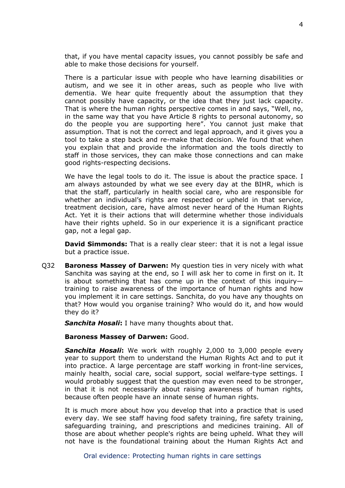that, if you have mental capacity issues, you cannot possibly be safe and able to make those decisions for yourself.

There is a particular issue with people who have learning disabilities or autism, and we see it in other areas, such as people who live with dementia. We hear quite frequently about the assumption that they cannot possibly have capacity, or the idea that they just lack capacity. That is where the human rights perspective comes in and says, "Well, no, in the same way that you have Article 8 rights to personal autonomy, so do the people you are supporting here". You cannot just make that assumption. That is not the correct and legal approach, and it gives you a tool to take a step back and re-make that decision. We found that when you explain that and provide the information and the tools directly to staff in those services, they can make those connections and can make good rights-respecting decisions.

We have the legal tools to do it. The issue is about the practice space. I am always astounded by what we see every day at the BIHR, which is that the staff, particularly in health social care, who are responsible for whether an individual's rights are respected or upheld in that service, treatment decision, care, have almost never heard of the Human Rights Act. Yet it is their actions that will determine whether those individuals have their rights upheld. So in our experience it is a significant practice gap, not a legal gap.

**David Simmonds:** That is a really clear steer: that it is not a legal issue but a practice issue.

Q32 **Baroness Massey of Darwen:** My question ties in very nicely with what Sanchita was saying at the end, so I will ask her to come in first on it. It is about something that has come up in the context of this inquiry training to raise awareness of the importance of human rights and how you implement it in care settings. Sanchita, do you have any thoughts on that? How would you organise training? Who would do it, and how would they do it?

*Sanchita Hosali***:** I have many thoughts about that.

#### **Baroness Massey of Darwen:** Good.

*Sanchita Hosali***:** We work with roughly 2,000 to 3,000 people every year to support them to understand the Human Rights Act and to put it into practice. A large percentage are staff working in front-line services, mainly health, social care, social support, social welfare-type settings. I would probably suggest that the question may even need to be stronger, in that it is not necessarily about raising awareness of human rights, because often people have an innate sense of human rights.

It is much more about how you develop that into a practice that is used every day. We see staff having food safety training, fire safety training, safeguarding training, and prescriptions and medicines training. All of those are about whether people's rights are being upheld. What they will not have is the foundational training about the Human Rights Act and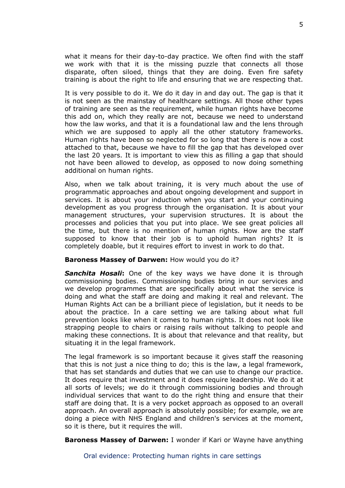what it means for their day-to-day practice. We often find with the staff we work with that it is the missing puzzle that connects all those disparate, often siloed, things that they are doing. Even fire safety training is about the right to life and ensuring that we are respecting that.

It is very possible to do it. We do it day in and day out. The gap is that it is not seen as the mainstay of healthcare settings. All those other types of training are seen as the requirement, while human rights have become this add on, which they really are not, because we need to understand how the law works, and that it is a foundational law and the lens through which we are supposed to apply all the other statutory frameworks. Human rights have been so neglected for so long that there is now a cost attached to that, because we have to fill the gap that has developed over the last 20 years. It is important to view this as filling a gap that should not have been allowed to develop, as opposed to now doing something additional on human rights.

Also, when we talk about training, it is very much about the use of programmatic approaches and about ongoing development and support in services. It is about your induction when you start and your continuing development as you progress through the organisation. It is about your management structures, your supervision structures. It is about the processes and policies that you put into place. We see great policies all the time, but there is no mention of human rights. How are the staff supposed to know that their job is to uphold human rights? It is completely doable, but it requires effort to invest in work to do that.

#### **Baroness Massey of Darwen:** How would you do it?

*Sanchita Hosali***:** One of the key ways we have done it is through commissioning bodies. Commissioning bodies bring in our services and we develop programmes that are specifically about what the service is doing and what the staff are doing and making it real and relevant. The Human Rights Act can be a brilliant piece of legislation, but it needs to be about the practice. In a care setting we are talking about what full prevention looks like when it comes to human rights. It does not look like strapping people to chairs or raising rails without talking to people and making these connections. It is about that relevance and that reality, but situating it in the legal framework.

The legal framework is so important because it gives staff the reasoning that this is not just a nice thing to do; this is the law, a legal framework, that has set standards and duties that we can use to change our practice. It does require that investment and it does require leadership. We do it at all sorts of levels; we do it through commissioning bodies and through individual services that want to do the right thing and ensure that their staff are doing that. It is a very pocket approach as opposed to an overall approach. An overall approach is absolutely possible; for example, we are doing a piece with NHS England and children's services at the moment, so it is there, but it requires the will.

**Baroness Massey of Darwen:** I wonder if Kari or Wayne have anything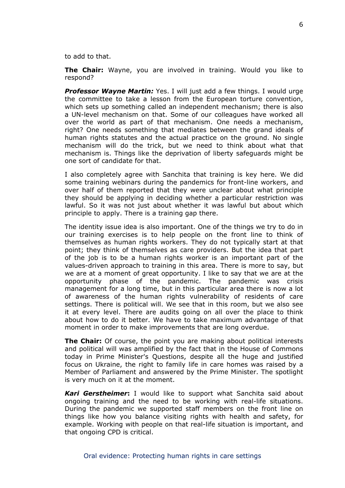to add to that.

**The Chair:** Wayne, you are involved in training. Would you like to respond?

*Professor Wayne Martin:* Yes. I will just add a few things. I would urge the committee to take a lesson from the European torture convention, which sets up something called an independent mechanism; there is also a UN-level mechanism on that. Some of our colleagues have worked all over the world as part of that mechanism. One needs a mechanism, right? One needs something that mediates between the grand ideals of human rights statutes and the actual practice on the ground. No single mechanism will do the trick, but we need to think about what that mechanism is. Things like the deprivation of liberty safeguards might be one sort of candidate for that.

I also completely agree with Sanchita that training is key here. We did some training webinars during the pandemics for front-line workers, and over half of them reported that they were unclear about what principle they should be applying in deciding whether a particular restriction was lawful. So it was not just about whether it was lawful but about which principle to apply. There is a training gap there.

The identity issue idea is also important. One of the things we try to do in our training exercises is to help people on the front line to think of themselves as human rights workers. They do not typically start at that point; they think of themselves as care providers. But the idea that part of the job is to be a human rights worker is an important part of the values-driven approach to training in this area. There is more to say, but we are at a moment of great opportunity. I like to say that we are at the opportunity phase of the pandemic. The pandemic was crisis management for a long time, but in this particular area there is now a lot of awareness of the human rights vulnerability of residents of care settings. There is political will. We see that in this room, but we also see it at every level. There are audits going on all over the place to think about how to do it better. We have to take maximum advantage of that moment in order to make improvements that are long overdue.

**The Chair:** Of course, the point you are making about political interests and political will was amplified by the fact that in the House of Commons today in Prime Minister's Questions, despite all the huge and justified focus on Ukraine, the right to family life in care homes was raised by a Member of Parliament and answered by the Prime Minister. The spotlight is very much on it at the moment.

*Kari Gerstheimer***:** I would like to support what Sanchita said about ongoing training and the need to be working with real-life situations. During the pandemic we supported staff members on the front line on things like how you balance visiting rights with health and safety, for example. Working with people on that real-life situation is important, and that ongoing CPD is critical.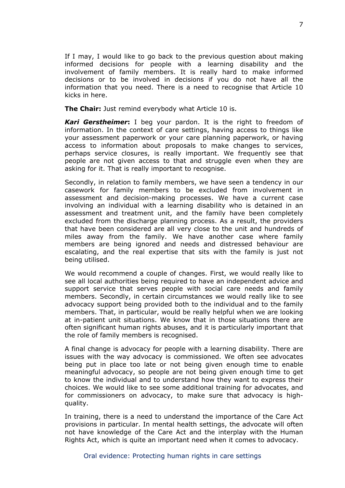If I may, I would like to go back to the previous question about making informed decisions for people with a learning disability and the involvement of family members. It is really hard to make informed decisions or to be involved in decisions if you do not have all the information that you need. There is a need to recognise that Article 10 kicks in here.

**The Chair:** Just remind everybody what Article 10 is.

*Kari Gerstheimer***:** I beg your pardon. It is the right to freedom of information. In the context of care settings, having access to things like your assessment paperwork or your care planning paperwork, or having access to information about proposals to make changes to services, perhaps service closures, is really important. We frequently see that people are not given access to that and struggle even when they are asking for it. That is really important to recognise.

Secondly, in relation to family members, we have seen a tendency in our casework for family members to be excluded from involvement in assessment and decision-making processes. We have a current case involving an individual with a learning disability who is detained in an assessment and treatment unit, and the family have been completely excluded from the discharge planning process. As a result, the providers that have been considered are all very close to the unit and hundreds of miles away from the family. We have another case where family members are being ignored and needs and distressed behaviour are escalating, and the real expertise that sits with the family is just not being utilised.

We would recommend a couple of changes. First, we would really like to see all local authorities being required to have an independent advice and support service that serves people with social care needs and family members. Secondly, in certain circumstances we would really like to see advocacy support being provided both to the individual and to the family members. That, in particular, would be really helpful when we are looking at in-patient unit situations. We know that in those situations there are often significant human rights abuses, and it is particularly important that the role of family members is recognised.

A final change is advocacy for people with a learning disability. There are issues with the way advocacy is commissioned. We often see advocates being put in place too late or not being given enough time to enable meaningful advocacy, so people are not being given enough time to get to know the individual and to understand how they want to express their choices. We would like to see some additional training for advocates, and for commissioners on advocacy, to make sure that advocacy is highquality.

In training, there is a need to understand the importance of the Care Act provisions in particular. In mental health settings, the advocate will often not have knowledge of the Care Act and the interplay with the Human Rights Act, which is quite an important need when it comes to advocacy.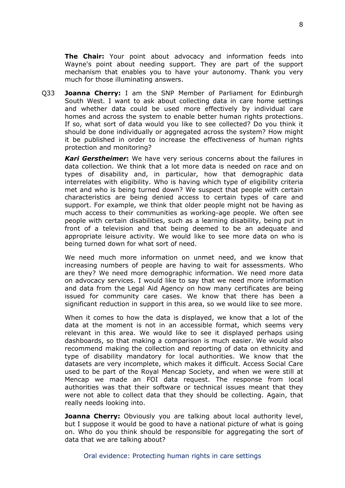**The Chair:** Your point about advocacy and information feeds into Wayne's point about needing support. They are part of the support mechanism that enables you to have your autonomy. Thank you very much for those illuminating answers.

Q33 **Joanna Cherry:** I am the SNP Member of Parliament for Edinburgh South West. I want to ask about collecting data in care home settings and whether data could be used more effectively by individual care homes and across the system to enable better human rights protections. If so, what sort of data would you like to see collected? Do you think it should be done individually or aggregated across the system? How might it be published in order to increase the effectiveness of human rights protection and monitoring?

*Kari Gerstheimer***:** We have very serious concerns about the failures in data collection. We think that a lot more data is needed on race and on types of disability and, in particular, how that demographic data interrelates with eligibility. Who is having which type of eligibility criteria met and who is being turned down? We suspect that people with certain characteristics are being denied access to certain types of care and support. For example, we think that older people might not be having as much access to their communities as working-age people. We often see people with certain disabilities, such as a learning disability, being put in front of a television and that being deemed to be an adequate and appropriate leisure activity. We would like to see more data on who is being turned down for what sort of need.

We need much more information on unmet need, and we know that increasing numbers of people are having to wait for assessments. Who are they? We need more demographic information. We need more data on advocacy services. I would like to say that we need more information and data from the Legal Aid Agency on how many certificates are being issued for community care cases. We know that there has been a significant reduction in support in this area, so we would like to see more.

When it comes to how the data is displayed, we know that a lot of the data at the moment is not in an accessible format, which seems very relevant in this area. We would like to see it displayed perhaps using dashboards, so that making a comparison is much easier. We would also recommend making the collection and reporting of data on ethnicity and type of disability mandatory for local authorities. We know that the datasets are very incomplete, which makes it difficult. Access Social Care used to be part of the Royal Mencap Society, and when we were still at Mencap we made an FOI data request. The response from local authorities was that their software or technical issues meant that they were not able to collect data that they should be collecting. Again, that really needs looking into.

**Joanna Cherry:** Obviously you are talking about local authority level, but I suppose it would be good to have a national picture of what is going on. Who do you think should be responsible for aggregating the sort of data that we are talking about?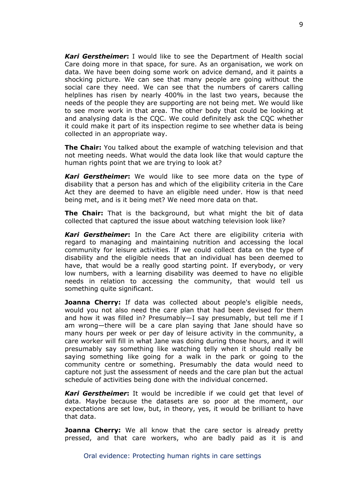*Kari Gerstheimer***:** I would like to see the Department of Health social Care doing more in that space, for sure. As an organisation, we work on data. We have been doing some work on advice demand, and it paints a shocking picture. We can see that many people are going without the social care they need. We can see that the numbers of carers calling helplines has risen by nearly 400% in the last two years, because the needs of the people they are supporting are not being met. We would like to see more work in that area. The other body that could be looking at and analysing data is the CQC. We could definitely ask the CQC whether it could make it part of its inspection regime to see whether data is being collected in an appropriate way.

**The Chair:** You talked about the example of watching television and that not meeting needs. What would the data look like that would capture the human rights point that we are trying to look at?

*Kari Gerstheimer***:** We would like to see more data on the type of disability that a person has and which of the eligibility criteria in the Care Act they are deemed to have an eligible need under. How is that need being met, and is it being met? We need more data on that.

**The Chair:** That is the background, but what might the bit of data collected that captured the issue about watching television look like?

*Kari Gerstheimer***:** In the Care Act there are eligibility criteria with regard to managing and maintaining nutrition and accessing the local community for leisure activities. If we could collect data on the type of disability and the eligible needs that an individual has been deemed to have, that would be a really good starting point. If everybody, or very low numbers, with a learning disability was deemed to have no eligible needs in relation to accessing the community, that would tell us something quite significant.

**Joanna Cherry:** If data was collected about people's eligible needs, would you not also need the care plan that had been devised for them and how it was filled in? Presumably—I say presumably, but tell me if I am wrong—there will be a care plan saying that Jane should have so many hours per week or per day of leisure activity in the community, a care worker will fill in what Jane was doing during those hours, and it will presumably say something like watching telly when it should really be saying something like going for a walk in the park or going to the community centre or something. Presumably the data would need to capture not just the assessment of needs and the care plan but the actual schedule of activities being done with the individual concerned.

*Kari Gerstheimer***:** It would be incredible if we could get that level of data. Maybe because the datasets are so poor at the moment, our expectations are set low, but, in theory, yes, it would be brilliant to have that data.

**Joanna Cherry:** We all know that the care sector is already pretty pressed, and that care workers, who are badly paid as it is and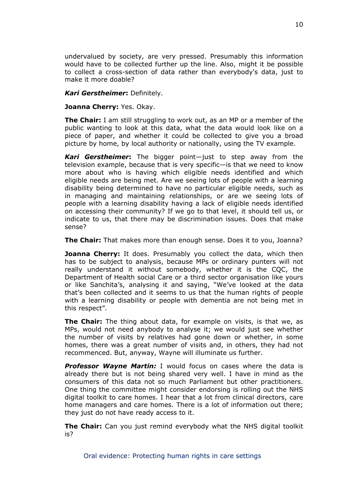undervalued by society, are very pressed. Presumably this information would have to be collected further up the line. Also, might it be possible to collect a cross-section of data rather than everybody's data, just to make it more doable?

#### *Kari Gerstheimer***:** Definitely.

#### **Joanna Cherry:** Yes. Okay.

**The Chair:** I am still struggling to work out, as an MP or a member of the public wanting to look at this data, what the data would look like on a piece of paper, and whether it could be collected to give you a broad picture by home, by local authority or nationally, using the TV example.

*Kari Gerstheimer***:** The bigger point—just to step away from the television example, because that is very specific—is that we need to know more about who is having which eligible needs identified and which eligible needs are being met. Are we seeing lots of people with a learning disability being determined to have no particular eligible needs, such as in managing and maintaining relationships, or are we seeing lots of people with a learning disability having a lack of eligible needs identified on accessing their community? If we go to that level, it should tell us, or indicate to us, that there may be discrimination issues. Does that make sense?

**The Chair:** That makes more than enough sense. Does it to you, Joanna?

**Joanna Cherry:** It does. Presumably you collect the data, which then has to be subject to analysis, because MPs or ordinary punters will not really understand it without somebody, whether it is the CQC, the Department of Health social Care or a third sector organisation like yours or like Sanchita's, analysing it and saying, "We've looked at the data that's been collected and it seems to us that the human rights of people with a learning disability or people with dementia are not being met in this respect".

**The Chair:** The thing about data, for example on visits, is that we, as MPs, would not need anybody to analyse it; we would just see whether the number of visits by relatives had gone down or whether, in some homes, there was a great number of visits and, in others, they had not recommenced. But, anyway, Wayne will illuminate us further.

*Professor Wayne Martin:* I would focus on cases where the data is already there but is not being shared very well. I have in mind as the consumers of this data not so much Parliament but other practitioners. One thing the committee might consider endorsing is rolling out the NHS digital toolkit to care homes. I hear that a lot from clinical directors, care home managers and care homes. There is a lot of information out there; they just do not have ready access to it.

**The Chair:** Can you just remind everybody what the NHS digital toolkit is?

10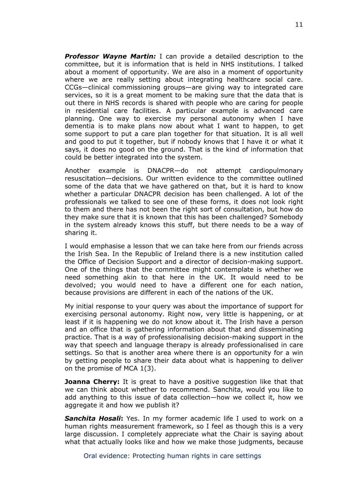*Professor Wayne Martin:* I can provide a detailed description to the committee, but it is information that is held in NHS institutions. I talked about a moment of opportunity. We are also in a moment of opportunity where we are really setting about integrating healthcare social care. CCGs—clinical commissioning groups—are giving way to integrated care services, so it is a great moment to be making sure that the data that is out there in NHS records is shared with people who are caring for people in residential care facilities. A particular example is advanced care planning. One way to exercise my personal autonomy when I have dementia is to make plans now about what I want to happen, to get some support to put a care plan together for that situation. It is all well and good to put it together, but if nobody knows that I have it or what it says, it does no good on the ground. That is the kind of information that could be better integrated into the system.

Another example is DNACPR—do not attempt cardiopulmonary resuscitation—decisions. Our written evidence to the committee outlined some of the data that we have gathered on that, but it is hard to know whether a particular DNACPR decision has been challenged. A lot of the professionals we talked to see one of these forms, it does not look right to them and there has not been the right sort of consultation, but how do they make sure that it is known that this has been challenged? Somebody in the system already knows this stuff, but there needs to be a way of sharing it.

I would emphasise a lesson that we can take here from our friends across the Irish Sea. In the Republic of Ireland there is a new institution called the Office of Decision Support and a director of decision-making support. One of the things that the committee might contemplate is whether we need something akin to that here in the UK. It would need to be devolved; you would need to have a different one for each nation, because provisions are different in each of the nations of the UK.

My initial response to your query was about the importance of support for exercising personal autonomy. Right now, very little is happening, or at least if it is happening we do not know about it. The Irish have a person and an office that is gathering information about that and disseminating practice. That is a way of professionalising decision-making support in the way that speech and language therapy is already professionalised in care settings. So that is another area where there is an opportunity for a win by getting people to share their data about what is happening to deliver on the promise of MCA 1(3).

**Joanna Cherry:** It is great to have a positive suggestion like that that we can think about whether to recommend. Sanchita, would you like to add anything to this issue of data collection—how we collect it, how we aggregate it and how we publish it?

*Sanchita Hosali***:** Yes. In my former academic life I used to work on a human rights measurement framework, so I feel as though this is a very large discussion. I completely appreciate what the Chair is saying about what that actually looks like and how we make those judgments, because

Oral evidence: Protecting human rights in care settings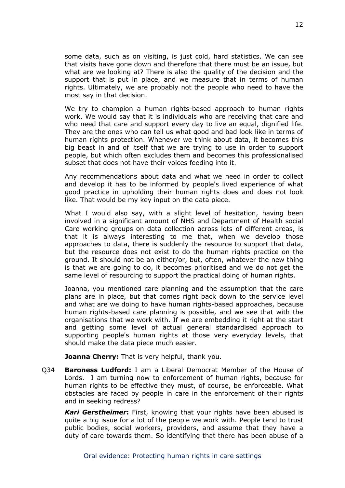some data, such as on visiting, is just cold, hard statistics. We can see that visits have gone down and therefore that there must be an issue, but what are we looking at? There is also the quality of the decision and the support that is put in place, and we measure that in terms of human rights. Ultimately, we are probably not the people who need to have the most say in that decision.

We try to champion a human rights-based approach to human rights work. We would say that it is individuals who are receiving that care and who need that care and support every day to live an equal, dignified life. They are the ones who can tell us what good and bad look like in terms of human rights protection. Whenever we think about data, it becomes this big beast in and of itself that we are trying to use in order to support people, but which often excludes them and becomes this professionalised subset that does not have their voices feeding into it.

Any recommendations about data and what we need in order to collect and develop it has to be informed by people's lived experience of what good practice in upholding their human rights does and does not look like. That would be my key input on the data piece.

What I would also say, with a slight level of hesitation, having been involved in a significant amount of NHS and Department of Health social Care working groups on data collection across lots of different areas, is that it is always interesting to me that, when we develop those approaches to data, there is suddenly the resource to support that data, but the resource does not exist to do the human rights practice on the ground. It should not be an either/or, but, often, whatever the new thing is that we are going to do, it becomes prioritised and we do not get the same level of resourcing to support the practical doing of human rights.

Joanna, you mentioned care planning and the assumption that the care plans are in place, but that comes right back down to the service level and what are we doing to have human rights-based approaches, because human rights-based care planning is possible, and we see that with the organisations that we work with. If we are embedding it right at the start and getting some level of actual general standardised approach to supporting people's human rights at those very everyday levels, that should make the data piece much easier.

**Joanna Cherry:** That is very helpful, thank you.

Q34 **Baroness Ludford:** I am a Liberal Democrat Member of the House of Lords. I am turning now to enforcement of human rights, because for human rights to be effective they must, of course, be enforceable. What obstacles are faced by people in care in the enforcement of their rights and in seeking redress?

*Kari Gerstheimer***:** First, knowing that your rights have been abused is quite a big issue for a lot of the people we work with. People tend to trust public bodies, social workers, providers, and assume that they have a duty of care towards them. So identifying that there has been abuse of a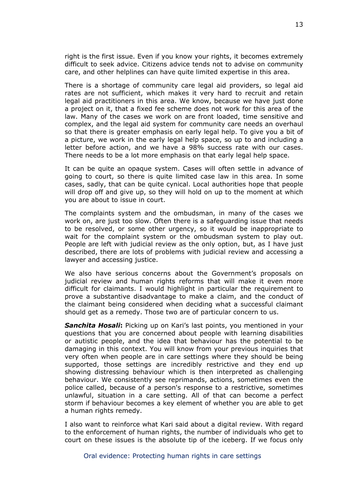right is the first issue. Even if you know your rights, it becomes extremely difficult to seek advice. Citizens advice tends not to advise on community care, and other helplines can have quite limited expertise in this area.

There is a shortage of community care legal aid providers, so legal aid rates are not sufficient, which makes it very hard to recruit and retain legal aid practitioners in this area. We know, because we have just done a project on it, that a fixed fee scheme does not work for this area of the law. Many of the cases we work on are front loaded, time sensitive and complex, and the legal aid system for community care needs an overhaul so that there is greater emphasis on early legal help. To give you a bit of a picture, we work in the early legal help space, so up to and including a letter before action, and we have a 98% success rate with our cases. There needs to be a lot more emphasis on that early legal help space.

It can be quite an opaque system. Cases will often settle in advance of going to court, so there is quite limited case law in this area. In some cases, sadly, that can be quite cynical. Local authorities hope that people will drop off and give up, so they will hold on up to the moment at which you are about to issue in court.

The complaints system and the ombudsman, in many of the cases we work on, are just too slow. Often there is a safeguarding issue that needs to be resolved, or some other urgency, so it would be inappropriate to wait for the complaint system or the ombudsman system to play out. People are left with judicial review as the only option, but, as I have just described, there are lots of problems with judicial review and accessing a lawyer and accessing justice.

We also have serious concerns about the Government's proposals on judicial review and human rights reforms that will make it even more difficult for claimants. I would highlight in particular the requirement to prove a substantive disadvantage to make a claim, and the conduct of the claimant being considered when deciding what a successful claimant should get as a remedy. Those two are of particular concern to us.

*Sanchita Hosali***:** Picking up on Kari's last points, you mentioned in your questions that you are concerned about people with learning disabilities or autistic people, and the idea that behaviour has the potential to be damaging in this context. You will know from your previous inquiries that very often when people are in care settings where they should be being supported, those settings are incredibly restrictive and they end up showing distressing behaviour which is then interpreted as challenging behaviour. We consistently see reprimands, actions, sometimes even the police called, because of a person's response to a restrictive, sometimes unlawful, situation in a care setting. All of that can become a perfect storm if behaviour becomes a key element of whether you are able to get a human rights remedy.

I also want to reinforce what Kari said about a digital review. With regard to the enforcement of human rights, the number of individuals who get to court on these issues is the absolute tip of the iceberg. If we focus only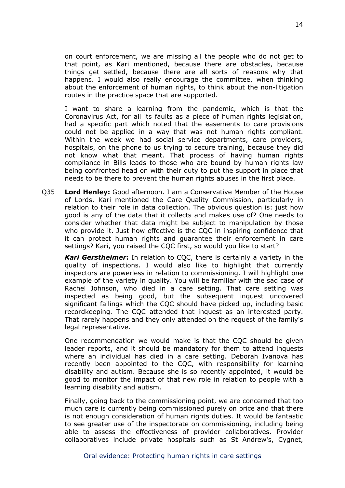on court enforcement, we are missing all the people who do not get to that point, as Kari mentioned, because there are obstacles, because things get settled, because there are all sorts of reasons why that happens. I would also really encourage the committee, when thinking about the enforcement of human rights, to think about the non-litigation routes in the practice space that are supported.

I want to share a learning from the pandemic, which is that the Coronavirus Act, for all its faults as a piece of human rights legislation, had a specific part which noted that the easements to care provisions could not be applied in a way that was not human rights compliant. Within the week we had social service departments, care providers, hospitals, on the phone to us trying to secure training, because they did not know what that meant. That process of having human rights compliance in Bills leads to those who are bound by human rights law being confronted head on with their duty to put the support in place that needs to be there to prevent the human rights abuses in the first place.

Q35 **Lord Henley:** Good afternoon. I am a Conservative Member of the House of Lords. Kari mentioned the Care Quality Commission, particularly in relation to their role in data collection. The obvious question is: just how good is any of the data that it collects and makes use of? One needs to consider whether that data might be subject to manipulation by those who provide it. Just how effective is the CQC in inspiring confidence that it can protect human rights and guarantee their enforcement in care settings? Kari, you raised the CQC first, so would you like to start?

*Kari Gerstheimer***:** In relation to CQC, there is certainly a variety in the quality of inspections. I would also like to highlight that currently inspectors are powerless in relation to commissioning. I will highlight one example of the variety in quality. You will be familiar with the sad case of Rachel Johnson, who died in a care setting. That care setting was inspected as being good, but the subsequent inquest uncovered significant failings which the CQC should have picked up, including basic recordkeeping. The CQC attended that inquest as an interested party. That rarely happens and they only attended on the request of the family's legal representative.

One recommendation we would make is that the CQC should be given leader reports, and it should be mandatory for them to attend inquests where an individual has died in a care setting. Deborah Ivanova has recently been appointed to the CQC, with responsibility for learning disability and autism. Because she is so recently appointed, it would be good to monitor the impact of that new role in relation to people with a learning disability and autism.

Finally, going back to the commissioning point, we are concerned that too much care is currently being commissioned purely on price and that there is not enough consideration of human rights duties. It would be fantastic to see greater use of the inspectorate on commissioning, including being able to assess the effectiveness of provider collaboratives. Provider collaboratives include private hospitals such as St Andrew's, Cygnet,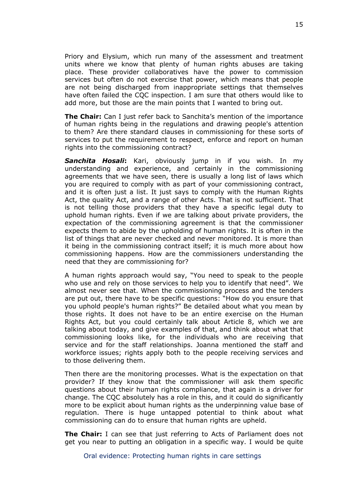Priory and Elysium, which run many of the assessment and treatment units where we know that plenty of human rights abuses are taking place. These provider collaboratives have the power to commission services but often do not exercise that power, which means that people are not being discharged from inappropriate settings that themselves have often failed the CQC inspection. I am sure that others would like to add more, but those are the main points that I wanted to bring out.

**The Chair:** Can I just refer back to Sanchita's mention of the importance of human rights being in the regulations and drawing people's attention to them? Are there standard clauses in commissioning for these sorts of services to put the requirement to respect, enforce and report on human rights into the commissioning contract?

*Sanchita Hosali***:** Kari, obviously jump in if you wish. In my understanding and experience, and certainly in the commissioning agreements that we have seen, there is usually a long list of laws which you are required to comply with as part of your commissioning contract, and it is often just a list. It just says to comply with the Human Rights Act, the quality Act, and a range of other Acts. That is not sufficient. That is not telling those providers that they have a specific legal duty to uphold human rights. Even if we are talking about private providers, the expectation of the commissioning agreement is that the commissioner expects them to abide by the upholding of human rights. It is often in the list of things that are never checked and never monitored. It is more than it being in the commissioning contract itself; it is much more about how commissioning happens. How are the commissioners understanding the need that they are commissioning for?

A human rights approach would say, "You need to speak to the people who use and rely on those services to help you to identify that need". We almost never see that. When the commissioning process and the tenders are put out, there have to be specific questions: "How do you ensure that you uphold people's human rights?" Be detailed about what you mean by those rights. It does not have to be an entire exercise on the Human Rights Act, but you could certainly talk about Article 8, which we are talking about today, and give examples of that, and think about what that commissioning looks like, for the individuals who are receiving that service and for the staff relationships. Joanna mentioned the staff and workforce issues; rights apply both to the people receiving services and to those delivering them.

Then there are the monitoring processes. What is the expectation on that provider? If they know that the commissioner will ask them specific questions about their human rights compliance, that again is a driver for change. The CQC absolutely has a role in this, and it could do significantly more to be explicit about human rights as the underpinning value base of regulation. There is huge untapped potential to think about what commissioning can do to ensure that human rights are upheld.

**The Chair:** I can see that just referring to Acts of Parliament does not get you near to putting an obligation in a specific way. I would be quite

Oral evidence: Protecting human rights in care settings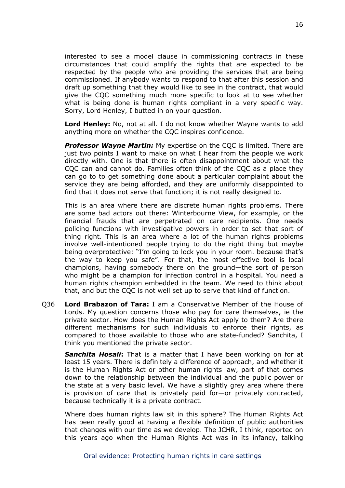interested to see a model clause in commissioning contracts in these circumstances that could amplify the rights that are expected to be respected by the people who are providing the services that are being commissioned. If anybody wants to respond to that after this session and draft up something that they would like to see in the contract, that would give the CQC something much more specific to look at to see whether what is being done is human rights compliant in a very specific way. Sorry, Lord Henley, I butted in on your question.

**Lord Henley:** No, not at all. I do not know whether Wayne wants to add anything more on whether the CQC inspires confidence.

*Professor Wayne Martin:* My expertise on the CQC is limited. There are just two points I want to make on what I hear from the people we work directly with. One is that there is often disappointment about what the CQC can and cannot do. Families often think of the CQC as a place they can go to to get something done about a particular complaint about the service they are being afforded, and they are uniformly disappointed to find that it does not serve that function; it is not really designed to.

This is an area where there are discrete human rights problems. There are some bad actors out there: Winterbourne View, for example, or the financial frauds that are perpetrated on care recipients. One needs policing functions with investigative powers in order to set that sort of thing right. This is an area where a lot of the human rights problems involve well-intentioned people trying to do the right thing but maybe being overprotective: "I'm going to lock you in your room. because that's the way to keep you safe". For that, the most effective tool is local champions, having somebody there on the ground—the sort of person who might be a champion for infection control in a hospital. You need a human rights champion embedded in the team. We need to think about that, and but the CQC is not well set up to serve that kind of function.

Q36 **Lord Brabazon of Tara:** I am a Conservative Member of the House of Lords. My question concerns those who pay for care themselves, ie the private sector. How does the Human Rights Act apply to them? Are there different mechanisms for such individuals to enforce their rights, as compared to those available to those who are state-funded? Sanchita, I think you mentioned the private sector.

*Sanchita Hosali***:** That is a matter that I have been working on for at least 15 years. There is definitely a difference of approach, and whether it is the Human Rights Act or other human rights law, part of that comes down to the relationship between the individual and the public power or the state at a very basic level. We have a slightly grey area where there is provision of care that is privately paid for—or privately contracted, because technically it is a private contract.

Where does human rights law sit in this sphere? The Human Rights Act has been really good at having a flexible definition of public authorities that changes with our time as we develop. The JCHR, I think, reported on this years ago when the Human Rights Act was in its infancy, talking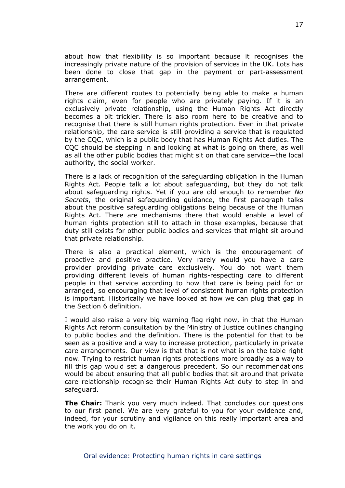about how that flexibility is so important because it recognises the increasingly private nature of the provision of services in the UK. Lots has been done to close that gap in the payment or part-assessment arrangement.

There are different routes to potentially being able to make a human rights claim, even for people who are privately paying. If it is an exclusively private relationship, using the Human Rights Act directly becomes a bit trickier. There is also room here to be creative and to recognise that there is still human rights protection. Even in that private relationship, the care service is still providing a service that is regulated by the CQC, which is a public body that has Human Rights Act duties. The CQC should be stepping in and looking at what is going on there, as well as all the other public bodies that might sit on that care service—the local authority, the social worker.

There is a lack of recognition of the safeguarding obligation in the Human Rights Act. People talk a lot about safeguarding, but they do not talk about safeguarding rights. Yet if you are old enough to remember *No Secrets*, the original safeguarding guidance, the first paragraph talks about the positive safeguarding obligations being because of the Human Rights Act. There are mechanisms there that would enable a level of human rights protection still to attach in those examples, because that duty still exists for other public bodies and services that might sit around that private relationship.

There is also a practical element, which is the encouragement of proactive and positive practice. Very rarely would you have a care provider providing private care exclusively. You do not want them providing different levels of human rights-respecting care to different people in that service according to how that care is being paid for or arranged, so encouraging that level of consistent human rights protection is important. Historically we have looked at how we can plug that gap in the Section 6 definition.

I would also raise a very big warning flag right now, in that the Human Rights Act reform consultation by the Ministry of Justice outlines changing to public bodies and the definition. There is the potential for that to be seen as a positive and a way to increase protection, particularly in private care arrangements. Our view is that that is not what is on the table right now. Trying to restrict human rights protections more broadly as a way to fill this gap would set a dangerous precedent. So our recommendations would be about ensuring that all public bodies that sit around that private care relationship recognise their Human Rights Act duty to step in and safeguard.

**The Chair:** Thank you very much indeed. That concludes our questions to our first panel. We are very grateful to you for your evidence and, indeed, for your scrutiny and vigilance on this really important area and the work you do on it.